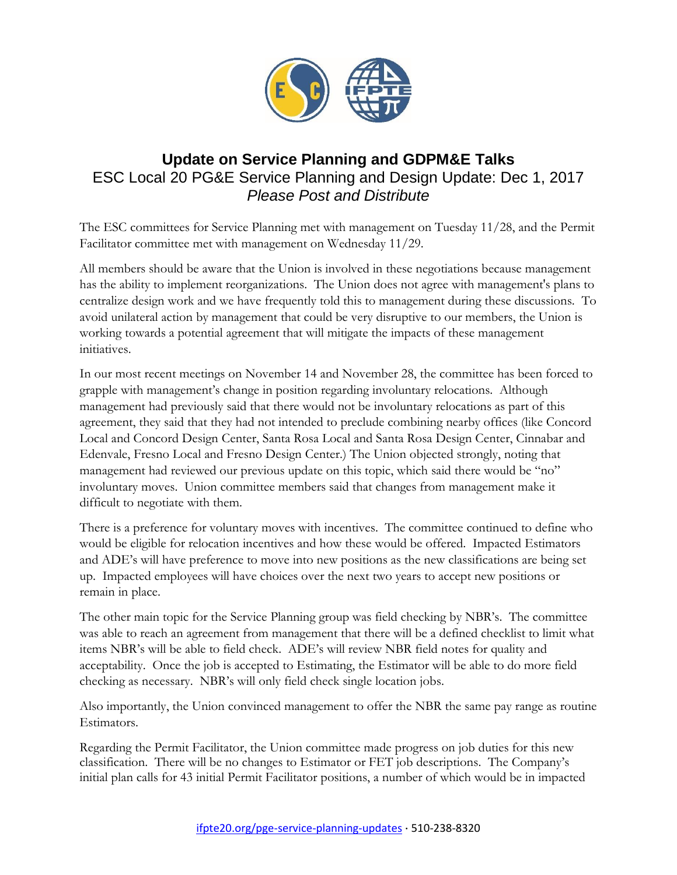

## **Update on Service Planning and GDPM&E Talks** ESC Local 20 PG&E Service Planning and Design Update: Dec 1, 2017 *Please Post and Distribute*

The ESC committees for Service Planning met with management on Tuesday 11/28, and the Permit Facilitator committee met with management on Wednesday 11/29.

All members should be aware that the Union is involved in these negotiations because management has the ability to implement reorganizations. The Union does not agree with management's plans to centralize design work and we have frequently told this to management during these discussions. To avoid unilateral action by management that could be very disruptive to our members, the Union is working towards a potential agreement that will mitigate the impacts of these management initiatives.

In our most recent meetings on November 14 and November 28, the committee has been forced to grapple with management's change in position regarding involuntary relocations. Although management had previously said that there would not be involuntary relocations as part of this agreement, they said that they had not intended to preclude combining nearby offices (like Concord Local and Concord Design Center, Santa Rosa Local and Santa Rosa Design Center, Cinnabar and Edenvale, Fresno Local and Fresno Design Center.) The Union objected strongly, noting that management had reviewed our previous update on this topic, which said there would be "no" involuntary moves. Union committee members said that changes from management make it difficult to negotiate with them.

There is a preference for voluntary moves with incentives. The committee continued to define who would be eligible for relocation incentives and how these would be offered. Impacted Estimators and ADE's will have preference to move into new positions as the new classifications are being set up. Impacted employees will have choices over the next two years to accept new positions or remain in place.

The other main topic for the Service Planning group was field checking by NBR's. The committee was able to reach an agreement from management that there will be a defined checklist to limit what items NBR's will be able to field check. ADE's will review NBR field notes for quality and acceptability. Once the job is accepted to Estimating, the Estimator will be able to do more field checking as necessary. NBR's will only field check single location jobs.

Also importantly, the Union convinced management to offer the NBR the same pay range as routine Estimators.

Regarding the Permit Facilitator, the Union committee made progress on job duties for this new classification. There will be no changes to Estimator or FET job descriptions. The Company's initial plan calls for 43 initial Permit Facilitator positions, a number of which would be in impacted